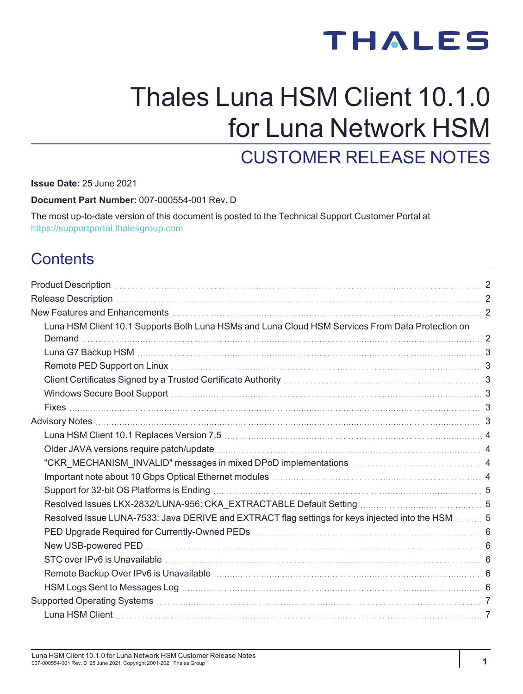# **THALES**

# Thales Luna HSM Client 10.1.0 for Luna Network HSM CUSTOMER RELEASE NOTES

**Issue Date:** 25 June 2021

**Document Part Number:** 007-000554-001 Rev. D

The most up-to-date version of this document is posted to the Technical Support Customer Portal at [https://supportportal.thalesgroup.com](https://supportportal.thalesgroup.com/)

# **Contents**

| Luna HSM Client 10.1 Supports Both Luna HSMs and Luna Cloud HSM Services From Data Protection on  |  |
|---------------------------------------------------------------------------------------------------|--|
|                                                                                                   |  |
|                                                                                                   |  |
|                                                                                                   |  |
|                                                                                                   |  |
|                                                                                                   |  |
|                                                                                                   |  |
|                                                                                                   |  |
|                                                                                                   |  |
|                                                                                                   |  |
|                                                                                                   |  |
|                                                                                                   |  |
|                                                                                                   |  |
| Resolved Issue LUNA-7533: Java DERIVE and EXTRACT flag settings for keys injected into the HSM  5 |  |
|                                                                                                   |  |
|                                                                                                   |  |
|                                                                                                   |  |
|                                                                                                   |  |
|                                                                                                   |  |
|                                                                                                   |  |
|                                                                                                   |  |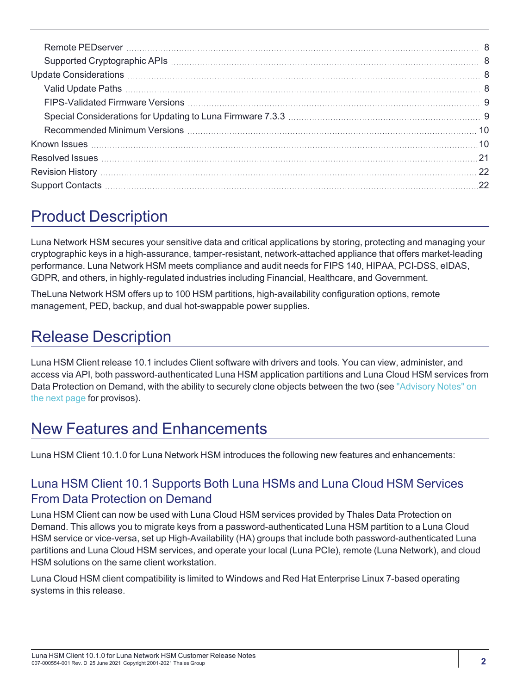| FIPS-Validated Firmware Versions (2008) (2008) (2008) (2008) (2008) (2008) (2008) (2008) (2008) (2008) (2008) (                                                                                                                |  |
|--------------------------------------------------------------------------------------------------------------------------------------------------------------------------------------------------------------------------------|--|
|                                                                                                                                                                                                                                |  |
| 10. The Recommended Minimum Versions (1996) and the comment of Minimum Versions (1996) and the comment of the comment of the comment of the comment of the comment of the comment of the comment of the comment of the comment |  |
|                                                                                                                                                                                                                                |  |
|                                                                                                                                                                                                                                |  |
|                                                                                                                                                                                                                                |  |
|                                                                                                                                                                                                                                |  |
|                                                                                                                                                                                                                                |  |

# <span id="page-1-0"></span>Product Description

Luna Network HSM secures your sensitive data and critical applications by storing, protecting and managing your cryptographic keys in a high-assurance, tamper-resistant, network-attached appliance that offers market-leading performance. Luna Network HSM meets compliance and audit needs for FIPS 140, HIPAA, PCI-DSS, eIDAS, GDPR, and others, in highly-regulated industries including Financial, Healthcare, and Government.

TheLuna Network HSM offers up to 100 HSM partitions, high-availability configuration options, remote management, PED, backup, and dual hot-swappable power supplies.

# <span id="page-1-1"></span>Release Description

Luna HSM Client release 10.1 includes Client software with drivers and tools. You can view, administer, and access via API, both password-authenticated Luna HSM application partitions and Luna Cloud HSM services from Data Protection on Demand, with the ability to securely clone objects between the two (see "Advisory [Notes" on](#page-2-5) the next [page](#page-2-5) for provisos).

# <span id="page-1-2"></span>New Features and Enhancements

<span id="page-1-3"></span>Luna HSM Client 10.1.0 for Luna Network HSM introduces the following new features and enhancements:

## Luna HSM Client 10.1 Supports Both Luna HSMs and Luna Cloud HSM Services From Data Protection on Demand

Luna HSM Client can now be used with Luna Cloud HSM services provided by Thales Data Protection on Demand. This allows you to migrate keys from a password-authenticated Luna HSM partition to a Luna Cloud HSM service or vice-versa, set up High-Availability (HA) groups that include both password-authenticated Luna partitions and Luna Cloud HSM services, and operate your local (Luna PCIe), remote (Luna Network), and cloud HSM solutions on the same client workstation.

Luna Cloud HSM client compatibility is limited to Windows and Red Hat Enterprise Linux 7-based operating systems in this release.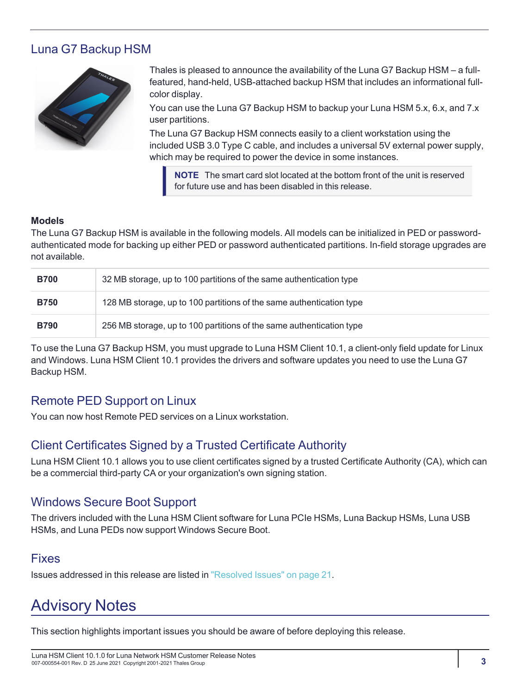### <span id="page-2-0"></span>Luna G7 Backup HSM



Thales is pleased to announce the availability of the Luna G7 Backup HSM – a fullfeatured, hand-held, USB-attached backup HSM that includes an informational fullcolor display.

You can use the Luna G7 Backup HSM to backup your Luna HSM 5.x, 6.x, and 7.x user partitions.

The Luna G7 Backup HSM connects easily to a client workstation using the included USB 3.0 Type C cable, and includes a universal 5V external power supply, which may be required to power the device in some instances.

**NOTE** The smart card slot located at the bottom front of the unit is reserved for future use and has been disabled in this release.

#### **Models**

The Luna G7 Backup HSM is available in the following models. All models can be initialized in PED or passwordauthenticated mode for backing up either PED or password authenticated partitions. In-field storage upgrades are not available.

| <b>B700</b> | 32 MB storage, up to 100 partitions of the same authentication type  |
|-------------|----------------------------------------------------------------------|
| <b>B750</b> | 128 MB storage, up to 100 partitions of the same authentication type |
| <b>B790</b> | 256 MB storage, up to 100 partitions of the same authentication type |

To use the Luna G7 Backup HSM, you must upgrade to Luna HSM Client 10.1, a client-only field update for Linux and Windows. Luna HSM Client 10.1 provides the drivers and software updates you need to use the Luna G7 Backup HSM.

### <span id="page-2-1"></span>Remote PED Support on Linux

<span id="page-2-2"></span>You can now host Remote PED services on a Linux workstation.

### Client Certificates Signed by a Trusted Certificate Authority

Luna HSM Client 10.1 allows you to use client certificates signed by a trusted Certificate Authority (CA), which can be a commercial third-party CA or your organization's own signing station.

### <span id="page-2-3"></span>Windows Secure Boot Support

The drivers included with the Luna HSM Client software for Luna PCIe HSMs, Luna Backup HSMs, Luna USB HSMs, and Luna PEDs now support Windows Secure Boot.

### <span id="page-2-4"></span>Fixes

<span id="page-2-5"></span>Issues addressed in this release are listed in "Resolved [Issues" on](#page-20-0) page 21.

# Advisory Notes

This section highlights important issues you should be aware of before deploying this release.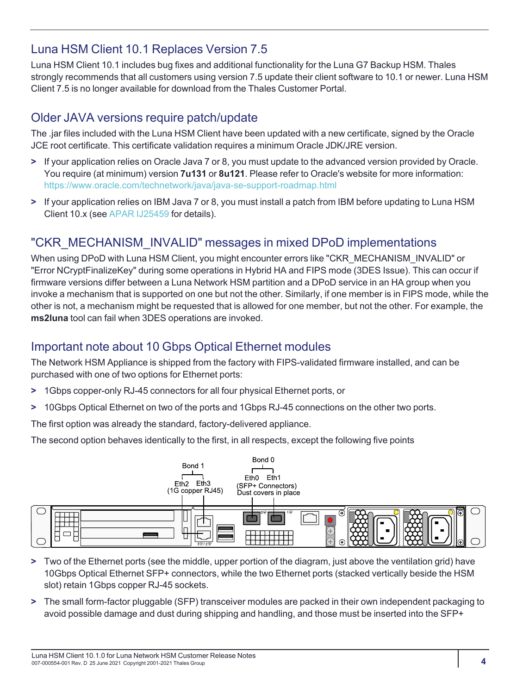### <span id="page-3-0"></span>Luna HSM Client 10.1 Replaces Version 7.5

Luna HSM Client 10.1 includes bug fixes and additional functionality for the Luna G7 Backup HSM. Thales strongly recommends that all customers using version 7.5 update their client software to 10.1 or newer. Luna HSM Client 7.5 is no longer available for download from the Thales Customer Portal.

### <span id="page-3-1"></span>Older JAVA versions require patch/update

The .jar files included with the Luna HSM Client have been updated with a new certificate, signed by the Oracle JCE root certificate. This certificate validation requires a minimum Oracle JDK/JRE version.

- **>** If your application relies on Oracle Java 7 or 8, you must update to the advanced version provided by Oracle. You require (at minimum) version **7u131** or **8u121**. Please refer to Oracle's website for more information: <https://www.oracle.com/technetwork/java/java-se-support-roadmap.html>
- **>** If your application relies on IBM Java 7 or 8, you must install a patch from IBM before updating to Luna HSM Client 10.x (see APAR [IJ25459](https://www.ibm.com/support/pages/apar/IJ25459) for details).

### <span id="page-3-2"></span>"CKR\_MECHANISM\_INVALID" messages in mixed DPoD implementations

When using DPoD with Luna HSM Client, you might encounter errors like "CKR\_MECHANISM\_INVALID" or "Error NCryptFinalizeKey" during some operations in Hybrid HA and FIPS mode (3DES Issue). This can occur if firmware versions differ between a Luna Network HSM partition and a DPoD service in an HA group when you invoke a mechanism that is supported on one but not the other. Similarly, if one member is in FIPS mode, while the other is not, a mechanism might be requested that is allowed for one member, but not the other. For example, the **ms2luna** tool can fail when 3DES operations are invoked.

### <span id="page-3-3"></span>Important note about 10 Gbps Optical Ethernet modules

The Network HSM Appliance is shipped from the factory with FIPS-validated firmware installed, and can be purchased with one of two options for Ethernet ports:

- **>** 1Gbps copper-only RJ-45 connectors for all four physical Ethernet ports, or
- **>** 10Gbps Optical Ethernet on two of the ports and 1Gbps RJ-45 connections on the other two ports.

The first option was already the standard, factory-delivered appliance.

The second option behaves identically to the first, in all respects, except the following five points



- **>** Two of the Ethernet ports (see the middle, upper portion of the diagram, just above the ventilation grid) have 10Gbps Optical Ethernet SFP+ connectors, while the two Ethernet ports (stacked vertically beside the HSM slot) retain 1Gbps copper RJ-45 sockets.
- **>** The small form-factor pluggable (SFP) transceiver modules are packed in their own independent packaging to avoid possible damage and dust during shipping and handling, and those must be inserted into the SFP+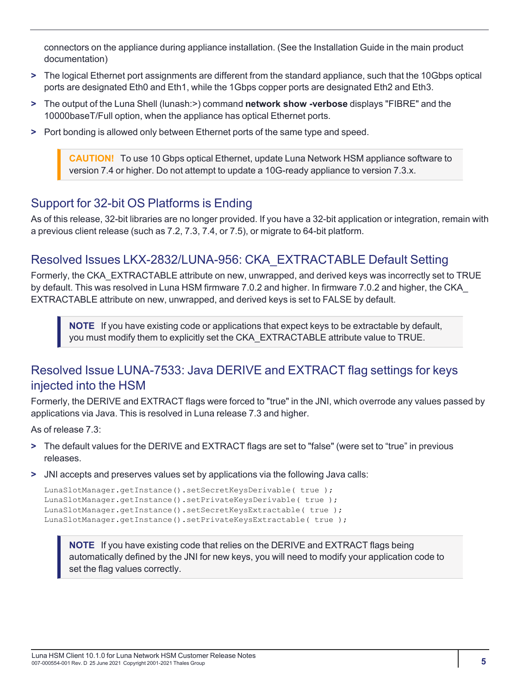connectors on the appliance during appliance installation. (See the Installation Guide in the main product documentation)

- **>** The logical Ethernet port assignments are different from the standard appliance, such that the 10Gbps optical ports are designated Eth0 and Eth1, while the 1Gbps copper ports are designated Eth2 and Eth3.
- **>** The output of the Luna Shell (lunash:>) command **network show -verbose** displays "FIBRE" and the 10000baseT/Full option, when the appliance has optical Ethernet ports.
- **>** Port bonding is allowed only between Ethernet ports of the same type and speed.

**CAUTION!** To use 10 Gbps optical Ethernet, update Luna Network HSM appliance software to version 7.4 or higher. Do not attempt to update a 10G-ready appliance to version 7.3.x.

### <span id="page-4-0"></span>Support for 32-bit OS Platforms is Ending

As of this release, 32-bit libraries are no longer provided. If you have a 32-bit application or integration, remain with a previous client release (such as 7.2, 7.3, 7.4, or 7.5), or migrate to 64-bit platform.

### <span id="page-4-1"></span>Resolved Issues LKX-2832/LUNA-956: CKA\_EXTRACTABLE Default Setting

Formerly, the CKA\_EXTRACTABLE attribute on new, unwrapped, and derived keys was incorrectly set to TRUE by default. This was resolved in Luna HSM firmware 7.0.2 and higher. In firmware 7.0.2 and higher, the CKA\_ EXTRACTABLE attribute on new, unwrapped, and derived keys is set to FALSE by default.

**NOTE** If you have existing code or applications that expect keys to be extractable by default, you must modify them to explicitly set the CKA\_EXTRACTABLE attribute value to TRUE.

### <span id="page-4-2"></span>Resolved Issue LUNA-7533: Java DERIVE and EXTRACT flag settings for keys injected into the HSM

Formerly, the DERIVE and EXTRACT flags were forced to "true" in the JNI, which overrode any values passed by applications via Java. This is resolved in Luna release 7.3 and higher.

As of release 7.3:

- **>** The default values for the DERIVE and EXTRACT flags are set to "false" (were set to "true" in previous releases.
- **>** JNI accepts and preserves values set by applications via the following Java calls:

```
LunaSlotManager.getInstance().setSecretKeysDerivable( true );
LunaSlotManager.getInstance().setPrivateKeysDerivable( true );
LunaSlotManager.getInstance().setSecretKeysExtractable( true );
LunaSlotManager.getInstance().setPrivateKeysExtractable( true );
```
**NOTE** If you have existing code that relies on the DERIVE and EXTRACT flags being automatically defined by the JNI for new keys, you will need to modify your application code to set the flag values correctly.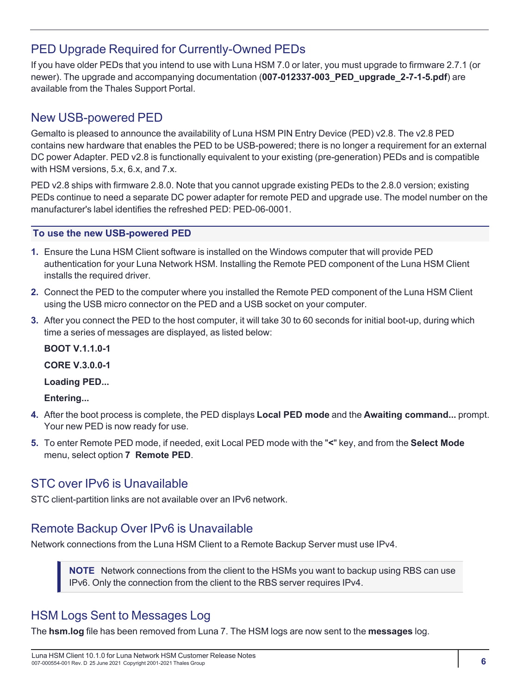### <span id="page-5-0"></span>PED Upgrade Required for Currently-Owned PEDs

If you have older PEDs that you intend to use with Luna HSM 7.0 or later, you must upgrade to firmware 2.7.1 (or newer). The upgrade and accompanying documentation (**007-012337-003\_PED\_upgrade\_2-7-1-5.pdf**) are available from the Thales Support Portal.

### <span id="page-5-1"></span>New USB-powered PED

Gemalto is pleased to announce the availability of Luna HSM PIN Entry Device (PED) v2.8. The v2.8 PED contains new hardware that enables the PED to be USB-powered; there is no longer a requirement for an external DC power Adapter. PED v2.8 is functionally equivalent to your existing (pre-generation) PEDs and is compatible with HSM versions, 5.x, 6.x, and 7.x.

PED v2.8 ships with firmware 2.8.0. Note that you cannot upgrade existing PEDs to the 2.8.0 version; existing PEDs continue to need a separate DC power adapter for remote PED and upgrade use. The model number on the manufacturer's label identifies the refreshed PED: PED-06-0001.

#### **To use the new USB-powered PED**

- **1.** Ensure the Luna HSM Client software is installed on the Windows computer that will provide PED authentication for your Luna Network HSM. Installing the Remote PED component of the Luna HSM Client installs the required driver.
- **2.** Connect the PED to the computer where you installed the Remote PED component of the Luna HSM Client using the USB micro connector on the PED and a USB socket on your computer.
- **3.** After you connect the PED to the host computer, it will take 30 to 60 seconds for initial boot-up, during which time a series of messages are displayed, as listed below:

**BOOT V.1.1.0-1 CORE V.3.0.0-1 Loading PED... Entering...**

- **4.** After the boot process is complete, the PED displays **Local PED mode** and the **Awaiting command...** prompt. Your new PED is now ready for use.
- **5.** To enter Remote PED mode, if needed, exit Local PED mode with the "**<**" key, and from the **Select Mode** menu, select option **7 Remote PED**.

### <span id="page-5-2"></span>STC over IPv6 is Unavailable

<span id="page-5-3"></span>STC client-partition links are not available over an IPv6 network.

### Remote Backup Over IPv6 is Unavailable

Network connections from the Luna HSM Client to a Remote Backup Server must use IPv4.

**NOTE** Network connections from the client to the HSMs you want to backup using RBS can use IPv6. Only the connection from the client to the RBS server requires IPv4.

### <span id="page-5-4"></span>HSM Logs Sent to Messages Log

The **hsm.log** file has been removed from Luna 7. The HSM logs are now sent to the **messages** log.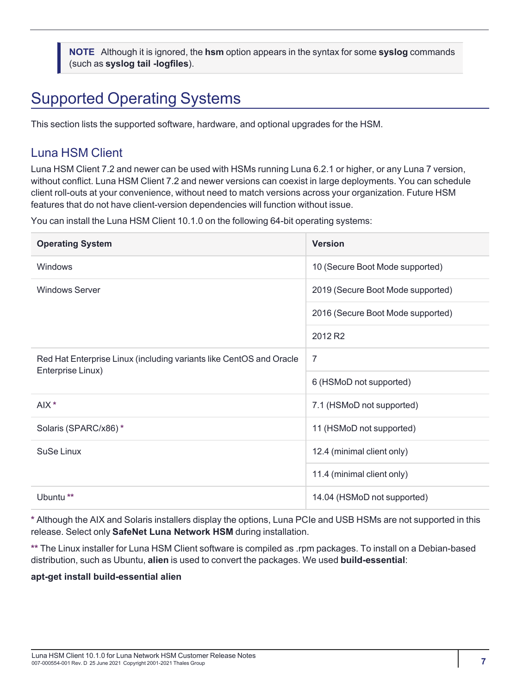**NOTE** Although it is ignored, the **hsm** option appears in the syntax for some **syslog** commands (such as **syslog tail -logfiles**).

# <span id="page-6-0"></span>Supported Operating Systems

<span id="page-6-1"></span>This section lists the supported software, hardware, and optional upgrades for the HSM.

### Luna HSM Client

Luna HSM Client 7.2 and newer can be used with HSMs running Luna 6.2.1 or higher, or any Luna 7 version, without conflict. Luna HSM Client 7.2 and newer versions can coexist in large deployments. You can schedule client roll-outs at your convenience, without need to match versions across your organization. Future HSM features that do not have client-version dependencies will function without issue.

You can install the Luna HSM Client 10.1.0 on the following 64-bit operating systems:

| <b>Operating System</b>                                                                  | <b>Version</b>                    |
|------------------------------------------------------------------------------------------|-----------------------------------|
| <b>Windows</b>                                                                           | 10 (Secure Boot Mode supported)   |
| <b>Windows Server</b>                                                                    | 2019 (Secure Boot Mode supported) |
|                                                                                          | 2016 (Secure Boot Mode supported) |
|                                                                                          | 2012 R <sub>2</sub>               |
| Red Hat Enterprise Linux (including variants like CentOS and Oracle<br>Enterprise Linux) | 7                                 |
|                                                                                          | 6 (HSMoD not supported)           |
| AIX *                                                                                    | 7.1 (HSMoD not supported)         |
| Solaris (SPARC/x86)*                                                                     | 11 (HSMoD not supported)          |
| SuSe Linux                                                                               | 12.4 (minimal client only)        |
|                                                                                          | 11.4 (minimal client only)        |
| Ubuntu <sup>**</sup>                                                                     | 14.04 (HSMoD not supported)       |

**\*** Although the AIX and Solaris installers display the options, Luna PCIe and USB HSMs are not supported in this release. Select only **SafeNet Luna Network HSM** during installation.

**\*\*** The Linux installer for Luna HSM Client software is compiled as .rpm packages. To install on a Debian-based distribution, such as Ubuntu, **alien** is used to convert the packages. We used **build-essential**:

#### **apt-get install build-essential alien**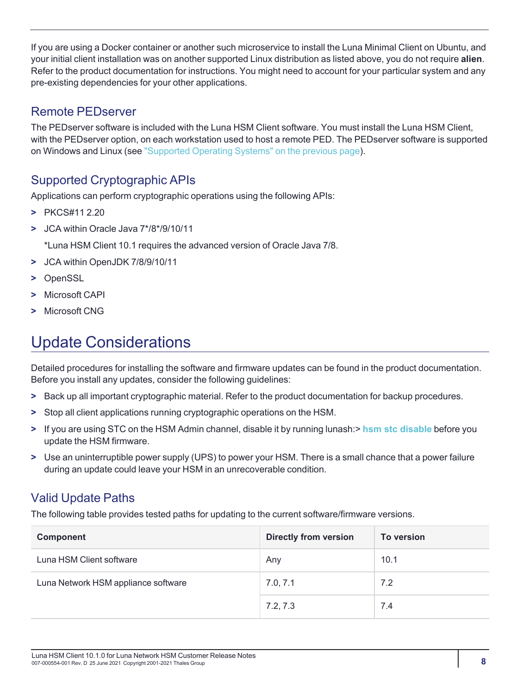If you are using a Docker container or another such microservice to install the Luna Minimal Client on Ubuntu, and your initial client installation was on another supported Linux distribution as listed above, you do not require **alien**. Refer to the product documentation for instructions. You might need to account for your particular system and any pre-existing dependencies for your other applications.

### <span id="page-7-0"></span>Remote PEDserver

The PEDserver software is included with the Luna HSM Client software. You must install the Luna HSM Client, with the PEDserver option, on each workstation used to host a remote PED. The PEDserver software is supported on Windows and Linux (see "Supported Operating [Systems" on](#page-6-0) the previous page).

## <span id="page-7-1"></span>Supported Cryptographic APIs

Applications can perform cryptographic operations using the following APIs:

- **>** PKCS#11 2.20
- **>** JCA within Oracle Java 7\*/8\*/9/10/11

\*Luna HSM Client 10.1 requires the advanced version of Oracle Java 7/8.

- **>** JCA within OpenJDK 7/8/9/10/11
- **>** OpenSSL
- **>** Microsoft CAPI
- <span id="page-7-2"></span>**>** Microsoft CNG

# Update Considerations

Detailed procedures for installing the software and firmware updates can be found in the product documentation. Before you install any updates, consider the following guidelines:

- **>** Back up all important cryptographic material. Refer to the product documentation for backup procedures.
- **>** Stop all client applications running cryptographic operations on the HSM.
- **>** If you are using STC on the HSM Admin channel, disable it by running lunash:> **hsm stc [disable](../../../../../../Content/lunash/commands/hsm/hsm_stc_disable.htm)** before you update the HSM firmware.
- **>** Use an uninterruptible power supply (UPS) to power your HSM. There is a small chance that a power failure during an update could leave your HSM in an unrecoverable condition.

### <span id="page-7-3"></span>Valid Update Paths

The following table provides tested paths for updating to the current software/firmware versions.

| Component                           | <b>Directly from version</b> | <b>To version</b> |
|-------------------------------------|------------------------------|-------------------|
| Luna HSM Client software            | Any                          | 10.1              |
| Luna Network HSM appliance software | 7.0, 7.1                     | 7.2               |
|                                     | 7.2, 7.3                     | 7.4               |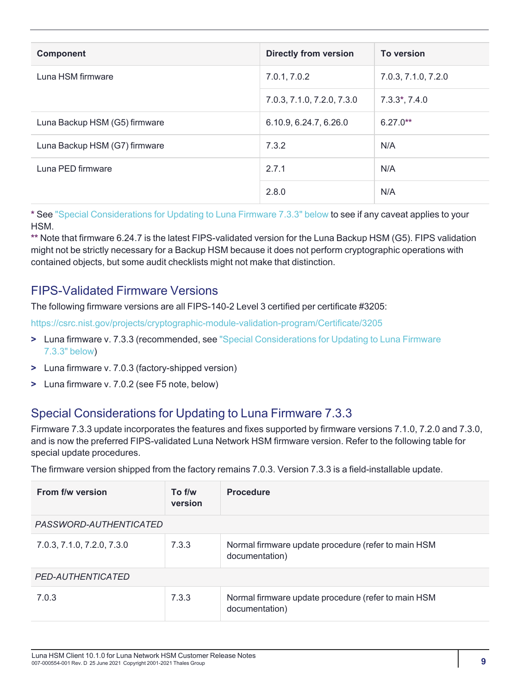| <b>Component</b>              | <b>Directly from version</b> | <b>To version</b>   |
|-------------------------------|------------------------------|---------------------|
| Luna HSM firmware             | 7.0.1, 7.0.2                 | 7.0.3, 7.1.0, 7.2.0 |
|                               | 7.0.3, 7.1.0, 7.2.0, 7.3.0   | $7.3.3^*$ , $7.4.0$ |
| Luna Backup HSM (G5) firmware | 6.10.9, 6.24.7, 6.26.0       | $6.27.0**$          |
| Luna Backup HSM (G7) firmware | 7.3.2                        | N/A                 |
| Luna PED firmware             | 2.7.1                        | N/A                 |
|                               | 2.8.0                        | N/A                 |

**\*** See "Special [Considerations](#page-8-1) for Updating to Luna Firmware 7.3.3" below to see if any caveat applies to your HSM.

**\*\*** Note that firmware 6.24.7 is the latest FIPS-validated version for the Luna Backup HSM (G5). FIPS validation might not be strictly necessary for a Backup HSM because it does not perform cryptographic operations with contained objects, but some audit checklists might not make that distinction.

### <span id="page-8-0"></span>FIPS-Validated Firmware Versions

The following firmware versions are all FIPS-140-2 Level 3 certified per certificate #3205:

<https://csrc.nist.gov/projects/cryptographic-module-validation-program/Certificate/3205>

- **>** Luna firmware v. 7.3.3 (recommended, see "Special [Considerations](#page-8-1) for Updating to Luna Firmware [7.3.3" below](#page-8-1))
- **>** Luna firmware v. 7.0.3 (factory-shipped version)
- <span id="page-8-1"></span>**>** Luna firmware v. 7.0.2 (see F5 note, below)

### Special Considerations for Updating to Luna Firmware 7.3.3

Firmware 7.3.3 update incorporates the features and fixes supported by firmware versions 7.1.0, 7.2.0 and 7.3.0, and is now the preferred FIPS-validated Luna Network HSM firmware version. Refer to the following table for special update procedures.

The firmware version shipped from the factory remains 7.0.3. Version 7.3.3 is a field-installable update.

| From f/w version              | To f/w<br>version | <b>Procedure</b>                                                      |
|-------------------------------|-------------------|-----------------------------------------------------------------------|
| <i>PASSWORD-AUTHENTICATED</i> |                   |                                                                       |
| 7.0.3, 7.1.0, 7.2.0, 7.3.0    | 7.3.3             | Normal firmware update procedure (refer to main HSM<br>documentation) |
| PED-AUTHENTICATED             |                   |                                                                       |
| 7.0.3                         | 7.3.3             | Normal firmware update procedure (refer to main HSM<br>documentation) |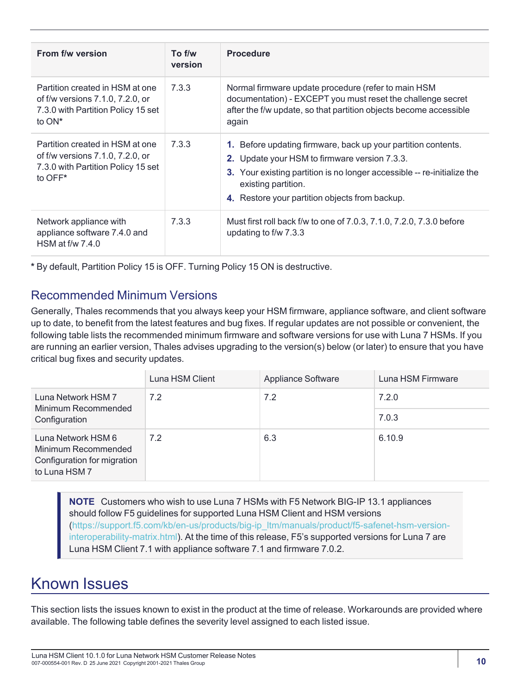| From f/w version                                                                                                       | To f/w<br>version | <b>Procedure</b>                                                                                                                                                                                                                                                   |
|------------------------------------------------------------------------------------------------------------------------|-------------------|--------------------------------------------------------------------------------------------------------------------------------------------------------------------------------------------------------------------------------------------------------------------|
| Partition created in HSM at one<br>of f/w versions 7.1.0, 7.2.0, or<br>7.3.0 with Partition Policy 15 set<br>to $ON^*$ | 7.3.3             | Normal firmware update procedure (refer to main HSM<br>documentation) - EXCEPT you must reset the challenge secret<br>after the f/w update, so that partition objects become accessible<br>again                                                                   |
| Partition created in HSM at one<br>of f/w versions 7.1.0, 7.2.0, or<br>7.3.0 with Partition Policy 15 set<br>to OFF*   | 7.3.3             | 1. Before updating firmware, back up your partition contents.<br>2. Update your HSM to firmware version 7.3.3.<br>3. Your existing partition is no longer accessible -- re-initialize the<br>existing partition.<br>4. Restore your partition objects from backup. |
| Network appliance with<br>appliance software 7.4.0 and<br>HSM at $f/w$ 7.4.0                                           | 7.3.3             | Must first roll back f/w to one of 7.0.3, 7.1.0, 7.2.0, 7.3.0 before<br>updating to f/w 7.3.3                                                                                                                                                                      |

<span id="page-9-0"></span>**\*** By default, Partition Policy 15 is OFF. Turning Policy 15 ON is destructive.

### Recommended Minimum Versions

Generally, Thales recommends that you always keep your HSM firmware, appliance software, and client software up to date, to benefit from the latest features and bug fixes. If regular updates are not possible or convenient, the following table lists the recommended minimum firmware and software versions for use with Luna 7 HSMs. If you are running an earlier version, Thales advises upgrading to the version(s) below (or later) to ensure that you have critical bug fixes and security updates.

|                                                                                           | Luna HSM Client | Appliance Software | Luna HSM Firmware |
|-------------------------------------------------------------------------------------------|-----------------|--------------------|-------------------|
| Luna Network HSM 7<br>Minimum Recommended                                                 | 7.2             | 7.2                | 7.2.0             |
| Configuration                                                                             |                 |                    | 7.0.3             |
| Luna Network HSM 6<br>Minimum Recommended<br>Configuration for migration<br>to Luna HSM 7 | 7.2             | 6.3                | 6.10.9            |

**NOTE** Customers who wish to use Luna 7 HSMs with F5 Network BIG-IP 13.1 appliances should follow F5 guidelines for supported Luna HSM Client and HSM versions [\(https://support.f5.com/kb/en-us/products/big-ip\\_ltm/manuals/product/f5-safenet-hsm-version](https://support.f5.com/kb/en-us/products/big-ip_ltm/manuals/product/f5-safenet-hsm-version-interoperability-matrix.html)[interoperability-matrix.html\)](https://support.f5.com/kb/en-us/products/big-ip_ltm/manuals/product/f5-safenet-hsm-version-interoperability-matrix.html). At the time of this release, F5's supported versions for Luna 7 are Luna HSM Client 7.1 with appliance software 7.1 and firmware 7.0.2.

# <span id="page-9-1"></span>Known Issues

This section lists the issues known to exist in the product at the time of release. Workarounds are provided where available. The following table defines the severity level assigned to each listed issue.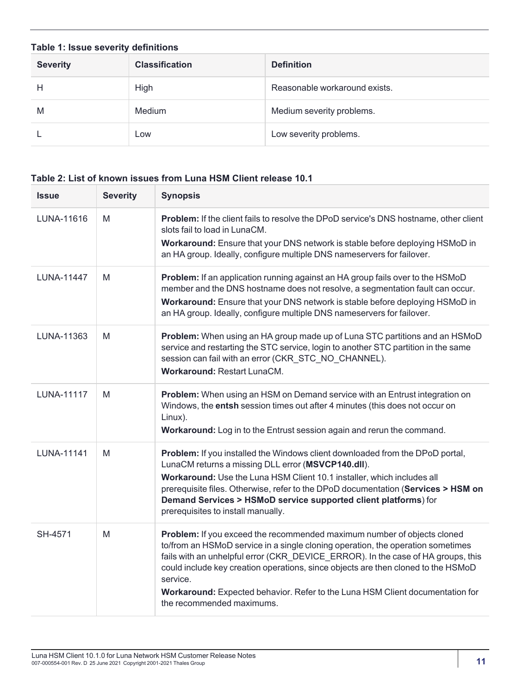| Table 1: Issue severity definitions |                       |                               |
|-------------------------------------|-----------------------|-------------------------------|
| <b>Severity</b>                     | <b>Classification</b> | <b>Definition</b>             |
| Н                                   | High                  | Reasonable workaround exists. |
| M                                   | Medium                | Medium severity problems.     |
|                                     | Low                   | Low severity problems.        |

#### **Table 2: List of known issues from Luna HSM Client release 10.1**

| <b>Issue</b>      | <b>Severity</b> | <b>Synopsis</b>                                                                                                                                                                                                                                                                                                                                                                                                                                               |
|-------------------|-----------------|---------------------------------------------------------------------------------------------------------------------------------------------------------------------------------------------------------------------------------------------------------------------------------------------------------------------------------------------------------------------------------------------------------------------------------------------------------------|
| LUNA-11616        | M               | Problem: If the client fails to resolve the DPoD service's DNS hostname, other client<br>slots fail to load in LunaCM.<br>Workaround: Ensure that your DNS network is stable before deploying HSMoD in<br>an HA group. Ideally, configure multiple DNS nameservers for failover.                                                                                                                                                                              |
| <b>LUNA-11447</b> | M               | Problem: If an application running against an HA group fails over to the HSMoD<br>member and the DNS hostname does not resolve, a segmentation fault can occur.<br>Workaround: Ensure that your DNS network is stable before deploying HSMoD in<br>an HA group. Ideally, configure multiple DNS nameservers for failover.                                                                                                                                     |
| LUNA-11363        | M               | Problem: When using an HA group made up of Luna STC partitions and an HSMoD<br>service and restarting the STC service, login to another STC partition in the same<br>session can fail with an error (CKR_STC_NO_CHANNEL).<br><b>Workaround: Restart LunaCM.</b>                                                                                                                                                                                               |
| <b>LUNA-11117</b> | M               | Problem: When using an HSM on Demand service with an Entrust integration on<br>Windows, the entsh session times out after 4 minutes (this does not occur on<br>Linux).<br>Workaround: Log in to the Entrust session again and rerun the command.                                                                                                                                                                                                              |
| <b>LUNA-11141</b> | M               | Problem: If you installed the Windows client downloaded from the DPoD portal,<br>LunaCM returns a missing DLL error (MSVCP140.dll).<br>Workaround: Use the Luna HSM Client 10.1 installer, which includes all<br>prerequisite files. Otherwise, refer to the DPoD documentation (Services > HSM on<br>Demand Services > HSMoD service supported client platforms) for<br>prerequisites to install manually.                                                   |
| SH-4571           | M               | Problem: If you exceed the recommended maximum number of objects cloned<br>to/from an HSMoD service in a single cloning operation, the operation sometimes<br>fails with an unhelpful error (CKR_DEVICE_ERROR). In the case of HA groups, this<br>could include key creation operations, since objects are then cloned to the HSMoD<br>service.<br>Workaround: Expected behavior. Refer to the Luna HSM Client documentation for<br>the recommended maximums. |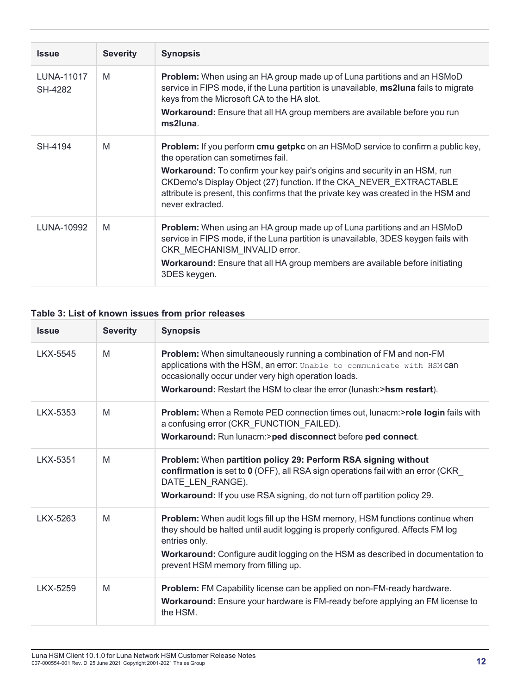| <b>Issue</b>          | <b>Severity</b> | <b>Synopsis</b>                                                                                                                                                                                                                                              |
|-----------------------|-----------------|--------------------------------------------------------------------------------------------------------------------------------------------------------------------------------------------------------------------------------------------------------------|
| LUNA-11017<br>SH-4282 | M               | <b>Problem:</b> When using an HA group made up of Luna partitions and an HSMoD<br>service in FIPS mode, if the Luna partition is unavailable, <b>ms2luna</b> fails to migrate<br>keys from the Microsoft CA to the HA slot.                                  |
|                       |                 | Workaround: Ensure that all HA group members are available before you run<br>ms2luna.                                                                                                                                                                        |
| SH-4194               | M               | <b>Problem:</b> If you perform <b>cmu getpkc</b> on an HSMoD service to confirm a public key,<br>the operation can sometimes fail.                                                                                                                           |
|                       |                 | Workaround: To confirm your key pair's origins and security in an HSM, run<br>CKDemo's Display Object (27) function. If the CKA NEVER EXTRACTABLE<br>attribute is present, this confirms that the private key was created in the HSM and<br>never extracted. |
| LUNA-10992            | M               | Problem: When using an HA group made up of Luna partitions and an HSMoD<br>service in FIPS mode, if the Luna partition is unavailable, 3DES keygen fails with<br>CKR MECHANISM INVALID error.                                                                |
|                       |                 | <b>Workaround:</b> Ensure that all HA group members are available before initiating<br>3DES keygen.                                                                                                                                                          |

#### **Table 3: List of known issues from prior releases**

| <b>Issue</b> | <b>Severity</b> | <b>Synopsis</b>                                                                                                                                                                                                                                                                                                           |
|--------------|-----------------|---------------------------------------------------------------------------------------------------------------------------------------------------------------------------------------------------------------------------------------------------------------------------------------------------------------------------|
| LKX-5545     | M               | <b>Problem:</b> When simultaneously running a combination of FM and non-FM<br>applications with the HSM, an error: Unable to communicate with HSM can<br>occasionally occur under very high operation loads.<br>Workaround: Restart the HSM to clear the error (lunash:>hsm restart).                                     |
| LKX-5353     | M               | Problem: When a Remote PED connection times out, lunacm:>role login fails with<br>a confusing error (CKR_FUNCTION_FAILED).<br>Workaround: Run lunacm:>ped disconnect before ped connect.                                                                                                                                  |
| LKX-5351     | M               | Problem: When partition policy 29: Perform RSA signing without<br>confirmation is set to 0 (OFF), all RSA sign operations fail with an error (CKR<br>DATE LEN RANGE).<br>Workaround: If you use RSA signing, do not turn off partition policy 29.                                                                         |
| LKX-5263     | M               | <b>Problem:</b> When audit logs fill up the HSM memory, HSM functions continue when<br>they should be halted until audit logging is properly configured. Affects FM log<br>entries only.<br><b>Workaround:</b> Configure audit logging on the HSM as described in documentation to<br>prevent HSM memory from filling up. |
| LKX-5259     | M               | Problem: FM Capability license can be applied on non-FM-ready hardware.<br>Workaround: Ensure your hardware is FM-ready before applying an FM license to<br>the HSM.                                                                                                                                                      |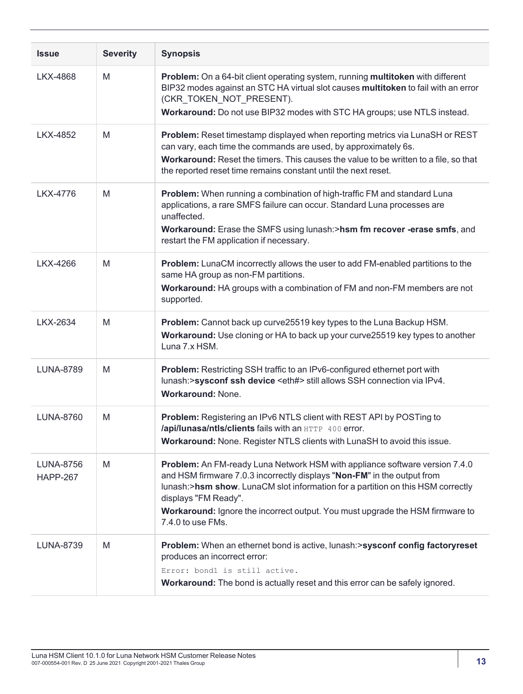| <b>Issue</b>                        | <b>Severity</b> | <b>Synopsis</b>                                                                                                                                                                                                                                                                                                                                                         |
|-------------------------------------|-----------------|-------------------------------------------------------------------------------------------------------------------------------------------------------------------------------------------------------------------------------------------------------------------------------------------------------------------------------------------------------------------------|
| <b>LKX-4868</b>                     | M               | Problem: On a 64-bit client operating system, running multitoken with different<br>BIP32 modes against an STC HA virtual slot causes multitoken to fail with an error<br>(CKR_TOKEN_NOT_PRESENT).<br>Workaround: Do not use BIP32 modes with STC HA groups; use NTLS instead.                                                                                           |
| <b>LKX-4852</b>                     | M               | Problem: Reset timestamp displayed when reporting metrics via LunaSH or REST<br>can vary, each time the commands are used, by approximately 6s.<br>Workaround: Reset the timers. This causes the value to be written to a file, so that<br>the reported reset time remains constant until the next reset.                                                               |
| LKX-4776                            | M               | Problem: When running a combination of high-traffic FM and standard Luna<br>applications, a rare SMFS failure can occur. Standard Luna processes are<br>unaffected.<br>Workaround: Erase the SMFS using lunash:>hsm fm recover -erase smfs, and<br>restart the FM application if necessary.                                                                             |
| LKX-4266                            | M               | Problem: LunaCM incorrectly allows the user to add FM-enabled partitions to the<br>same HA group as non-FM partitions.<br>Workaround: HA groups with a combination of FM and non-FM members are not<br>supported.                                                                                                                                                       |
| <b>LKX-2634</b>                     | M               | Problem: Cannot back up curve25519 key types to the Luna Backup HSM.<br>Workaround: Use cloning or HA to back up your curve25519 key types to another<br>Luna 7.x HSM.                                                                                                                                                                                                  |
| <b>LUNA-8789</b>                    | M               | Problem: Restricting SSH traffic to an IPv6-configured ethernet port with<br>lunash:>sysconf ssh device <eth#> still allows SSH connection via IPv4.<br/><b>Workaround: None.</b></eth#>                                                                                                                                                                                |
| <b>LUNA-8760</b>                    | M               | Problem: Registering an IPv6 NTLS client with REST API by POSTing to<br>/api/lunasa/ntls/clients fails with an HTTP 400 error.<br>Workaround: None. Register NTLS clients with LunaSH to avoid this issue.                                                                                                                                                              |
| <b>LUNA-8756</b><br><b>HAPP-267</b> | M               | Problem: An FM-ready Luna Network HSM with appliance software version 7.4.0<br>and HSM firmware 7.0.3 incorrectly displays "Non-FM" in the output from<br>lunash:>hsm show. LunaCM slot information for a partition on this HSM correctly<br>displays "FM Ready".<br>Workaround: Ignore the incorrect output. You must upgrade the HSM firmware to<br>7.4.0 to use FMs. |
| <b>LUNA-8739</b>                    | M               | Problem: When an ethernet bond is active, lunash:>sysconf config factoryreset<br>produces an incorrect error:<br>Error: bondl is still active.<br>Workaround: The bond is actually reset and this error can be safely ignored.                                                                                                                                          |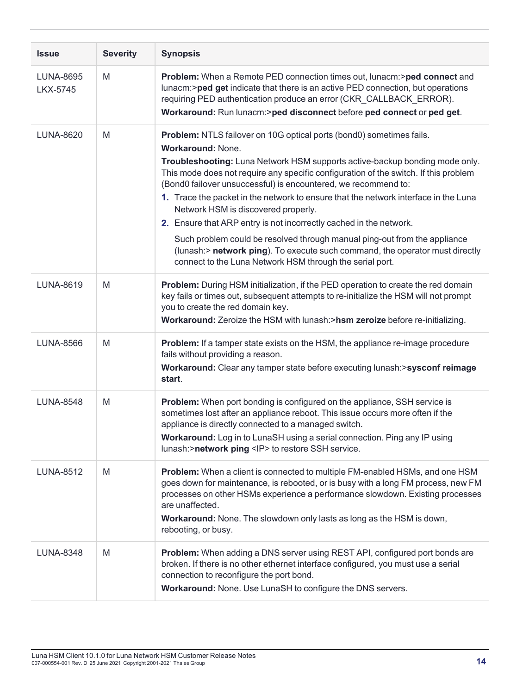| <b>Issue</b>                        | <b>Severity</b> | <b>Synopsis</b>                                                                                                                                                                                                                                                                                                                                                                                                                                                                                                                                                                                                                                                                                                                                                        |
|-------------------------------------|-----------------|------------------------------------------------------------------------------------------------------------------------------------------------------------------------------------------------------------------------------------------------------------------------------------------------------------------------------------------------------------------------------------------------------------------------------------------------------------------------------------------------------------------------------------------------------------------------------------------------------------------------------------------------------------------------------------------------------------------------------------------------------------------------|
| <b>LUNA-8695</b><br><b>LKX-5745</b> | M               | Problem: When a Remote PED connection times out, lunacm:>ped connect and<br>lunacm:>ped get indicate that there is an active PED connection, but operations<br>requiring PED authentication produce an error (CKR_CALLBACK_ERROR).<br>Workaround: Run lunacm:>ped disconnect before ped connect or ped get.                                                                                                                                                                                                                                                                                                                                                                                                                                                            |
| LUNA-8620                           | M               | Problem: NTLS failover on 10G optical ports (bond0) sometimes fails.<br><b>Workaround: None.</b><br>Troubleshooting: Luna Network HSM supports active-backup bonding mode only.<br>This mode does not require any specific configuration of the switch. If this problem<br>(Bond0 failover unsuccessful) is encountered, we recommend to:<br>1. Trace the packet in the network to ensure that the network interface in the Luna<br>Network HSM is discovered properly.<br>2. Ensure that ARP entry is not incorrectly cached in the network.<br>Such problem could be resolved through manual ping-out from the appliance<br>(lunash:> network ping). To execute such command, the operator must directly<br>connect to the Luna Network HSM through the serial port. |
| <b>LUNA-8619</b>                    | M               | Problem: During HSM initialization, if the PED operation to create the red domain<br>key fails or times out, subsequent attempts to re-initialize the HSM will not prompt<br>you to create the red domain key.<br>Workaround: Zeroize the HSM with lunash:>hsm zeroize before re-initializing.                                                                                                                                                                                                                                                                                                                                                                                                                                                                         |
| <b>LUNA-8566</b>                    | M               | <b>Problem:</b> If a tamper state exists on the HSM, the appliance re-image procedure<br>fails without providing a reason.<br>Workaround: Clear any tamper state before executing lunash:>sysconf reimage<br>start.                                                                                                                                                                                                                                                                                                                                                                                                                                                                                                                                                    |
| <b>LUNA-8548</b>                    | M               | Problem: When port bonding is configured on the appliance, SSH service is<br>sometimes lost after an appliance reboot. This issue occurs more often if the<br>appliance is directly connected to a managed switch.<br>Workaround: Log in to LunaSH using a serial connection. Ping any IP using<br>lunash:>network ping <lp> to restore SSH service.</lp>                                                                                                                                                                                                                                                                                                                                                                                                              |
| <b>LUNA-8512</b>                    | M               | <b>Problem:</b> When a client is connected to multiple FM-enabled HSMs, and one HSM<br>goes down for maintenance, is rebooted, or is busy with a long FM process, new FM<br>processes on other HSMs experience a performance slowdown. Existing processes<br>are unaffected.<br>Workaround: None. The slowdown only lasts as long as the HSM is down,<br>rebooting, or busy.                                                                                                                                                                                                                                                                                                                                                                                           |
| <b>LUNA-8348</b>                    | M               | Problem: When adding a DNS server using REST API, configured port bonds are<br>broken. If there is no other ethernet interface configured, you must use a serial<br>connection to reconfigure the port bond.<br>Workaround: None. Use LunaSH to configure the DNS servers.                                                                                                                                                                                                                                                                                                                                                                                                                                                                                             |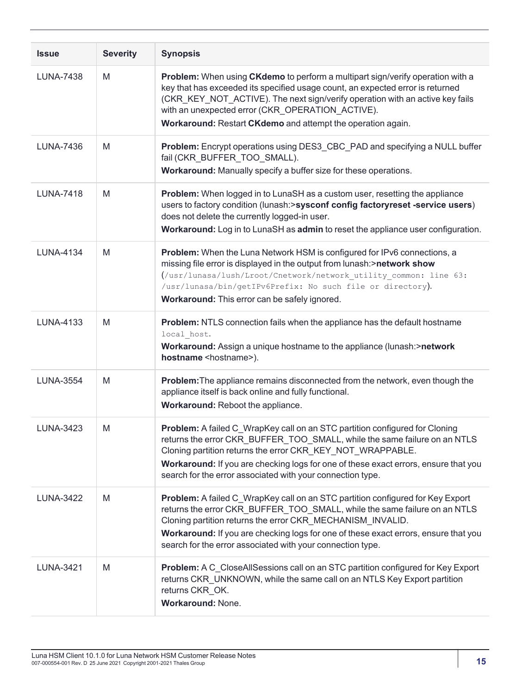| <b>Issue</b>     | <b>Severity</b> | <b>Synopsis</b>                                                                                                                                                                                                                                                                                                                                                                |
|------------------|-----------------|--------------------------------------------------------------------------------------------------------------------------------------------------------------------------------------------------------------------------------------------------------------------------------------------------------------------------------------------------------------------------------|
| <b>LUNA-7438</b> | M               | Problem: When using CKdemo to perform a multipart sign/verify operation with a<br>key that has exceeded its specified usage count, an expected error is returned<br>(CKR_KEY_NOT_ACTIVE). The next sign/verify operation with an active key fails<br>with an unexpected error (CKR_OPERATION_ACTIVE).<br>Workaround: Restart CKdemo and attempt the operation again.           |
| <b>LUNA-7436</b> | M               | Problem: Encrypt operations using DES3_CBC_PAD and specifying a NULL buffer<br>fail (CKR_BUFFER_TOO_SMALL).<br>Workaround: Manually specify a buffer size for these operations.                                                                                                                                                                                                |
| <b>LUNA-7418</b> | M               | Problem: When logged in to LunaSH as a custom user, resetting the appliance<br>users to factory condition (lunash:>sysconf config factoryreset -service users)<br>does not delete the currently logged-in user.<br>Workaround: Log in to LunaSH as admin to reset the appliance user configuration.                                                                            |
| <b>LUNA-4134</b> | M               | Problem: When the Luna Network HSM is configured for IPv6 connections, a<br>missing file error is displayed in the output from lunash:>network show<br>(/usr/lunasa/lush/Lroot/Cnetwork/network utility common: line 63:<br>/usr/lunasa/bin/getIPv6Prefix: No such file or directory).<br>Workaround: This error can be safely ignored.                                        |
| LUNA-4133        | M               | Problem: NTLS connection fails when the appliance has the default hostname<br>local host.<br>Workaround: Assign a unique hostname to the appliance (lunash:>network<br>hostname <hostname>).</hostname>                                                                                                                                                                        |
| <b>LUNA-3554</b> | M               | Problem: The appliance remains disconnected from the network, even though the<br>appliance itself is back online and fully functional.<br>Workaround: Reboot the appliance.                                                                                                                                                                                                    |
| LUNA-3423        | M               | Problem: A failed C_WrapKey call on an STC partition configured for Cloning<br>returns the error CKR_BUFFER_TOO_SMALL, while the same failure on an NTLS<br>Cloning partition returns the error CKR_KEY_NOT_WRAPPABLE.<br>Workaround: If you are checking logs for one of these exact errors, ensure that you<br>search for the error associated with your connection type.    |
| <b>LUNA-3422</b> | M               | Problem: A failed C_WrapKey call on an STC partition configured for Key Export<br>returns the error CKR_BUFFER_TOO_SMALL, while the same failure on an NTLS<br>Cloning partition returns the error CKR_MECHANISM_INVALID.<br>Workaround: If you are checking logs for one of these exact errors, ensure that you<br>search for the error associated with your connection type. |
| LUNA-3421        | M               | Problem: A C_CloseAllSessions call on an STC partition configured for Key Export<br>returns CKR_UNKNOWN, while the same call on an NTLS Key Export partition<br>returns CKR_OK.<br><b>Workaround: None.</b>                                                                                                                                                                    |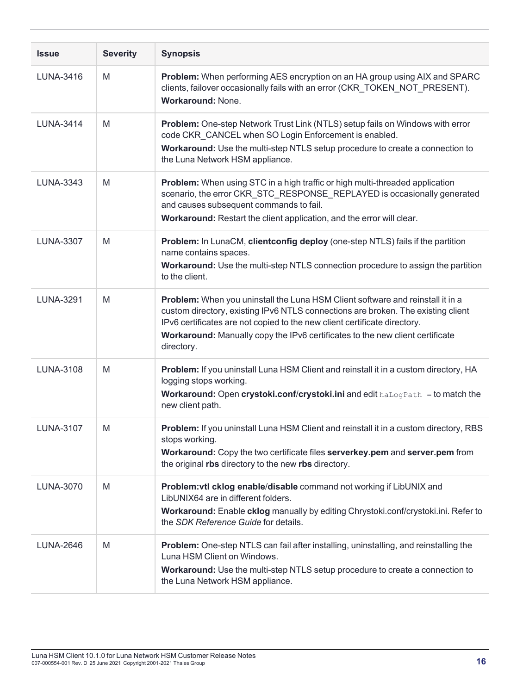| <b>Issue</b>     | <b>Severity</b> | <b>Synopsis</b>                                                                                                                                                                                                                                                                                                                                |
|------------------|-----------------|------------------------------------------------------------------------------------------------------------------------------------------------------------------------------------------------------------------------------------------------------------------------------------------------------------------------------------------------|
| LUNA-3416        | M               | Problem: When performing AES encryption on an HA group using AIX and SPARC<br>clients, failover occasionally fails with an error (CKR_TOKEN_NOT_PRESENT).<br>Workaround: None.                                                                                                                                                                 |
| <b>LUNA-3414</b> | M               | Problem: One-step Network Trust Link (NTLS) setup fails on Windows with error<br>code CKR CANCEL when SO Login Enforcement is enabled.<br>Workaround: Use the multi-step NTLS setup procedure to create a connection to<br>the Luna Network HSM appliance.                                                                                     |
| LUNA-3343        | M               | Problem: When using STC in a high traffic or high multi-threaded application<br>scenario, the error CKR_STC_RESPONSE_REPLAYED is occasionally generated<br>and causes subsequent commands to fail.<br>Workaround: Restart the client application, and the error will clear.                                                                    |
| <b>LUNA-3307</b> | M               | Problem: In LunaCM, clientconfig deploy (one-step NTLS) fails if the partition<br>name contains spaces.<br>Workaround: Use the multi-step NTLS connection procedure to assign the partition<br>to the client.                                                                                                                                  |
| <b>LUNA-3291</b> | M               | Problem: When you uninstall the Luna HSM Client software and reinstall it in a<br>custom directory, existing IPv6 NTLS connections are broken. The existing client<br>IPv6 certificates are not copied to the new client certificate directory.<br>Workaround: Manually copy the IPv6 certificates to the new client certificate<br>directory. |
| <b>LUNA-3108</b> | M               | Problem: If you uninstall Luna HSM Client and reinstall it in a custom directory, HA<br>logging stops working.<br>Workaround: Open crystoki.conf/crystoki.ini and edit halogPath = to match the<br>new client path.                                                                                                                            |
| <b>LUNA-3107</b> | M               | Problem: If you uninstall Luna HSM Client and reinstall it in a custom directory, RBS<br>stops working.<br>Workaround: Copy the two certificate files serverkey.pem and server.pem from<br>the original rbs directory to the new rbs directory.                                                                                                |
| LUNA-3070        | M               | Problem: vtl cklog enable/disable command not working if LibUNIX and<br>LibUNIX64 are in different folders.<br>Workaround: Enable cklog manually by editing Chrystoki.conf/crystoki.ini. Refer to<br>the SDK Reference Guide for details.                                                                                                      |
| <b>LUNA-2646</b> | M               | Problem: One-step NTLS can fail after installing, uninstalling, and reinstalling the<br>Luna HSM Client on Windows.<br><b>Workaround:</b> Use the multi-step NTLS setup procedure to create a connection to<br>the Luna Network HSM appliance.                                                                                                 |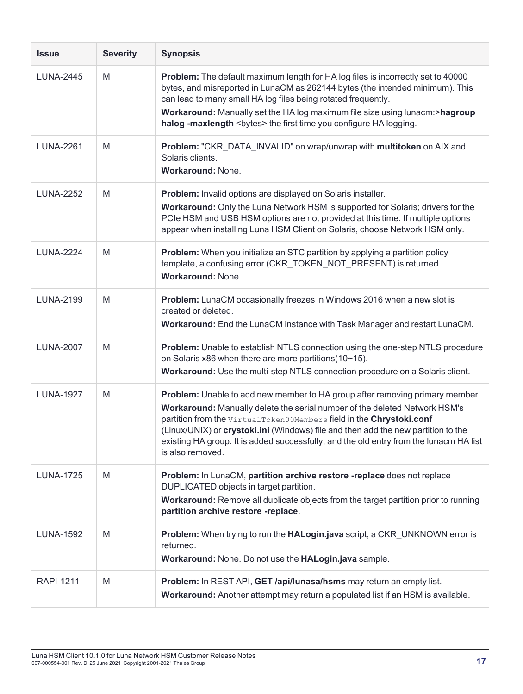| <b>Issue</b>     | <b>Severity</b> | <b>Synopsis</b>                                                                                                                                                                                                                                                                                                                                                                                                                       |
|------------------|-----------------|---------------------------------------------------------------------------------------------------------------------------------------------------------------------------------------------------------------------------------------------------------------------------------------------------------------------------------------------------------------------------------------------------------------------------------------|
| <b>LUNA-2445</b> | M               | Problem: The default maximum length for HA log files is incorrectly set to 40000<br>bytes, and misreported in LunaCM as 262144 bytes (the intended minimum). This<br>can lead to many small HA log files being rotated frequently.<br>Workaround: Manually set the HA log maximum file size using lunacm:>hagroup<br>halog -maxlength <bytes> the first time you configure HA logging.</bytes>                                        |
| <b>LUNA-2261</b> | M               | Problem: "CKR_DATA_INVALID" on wrap/unwrap with multitoken on AIX and<br>Solaris clients.<br>Workaround: None.                                                                                                                                                                                                                                                                                                                        |
| <b>LUNA-2252</b> | M               | Problem: Invalid options are displayed on Solaris installer.<br>Workaround: Only the Luna Network HSM is supported for Solaris; drivers for the<br>PCIe HSM and USB HSM options are not provided at this time. If multiple options<br>appear when installing Luna HSM Client on Solaris, choose Network HSM only.                                                                                                                     |
| <b>LUNA-2224</b> | M               | Problem: When you initialize an STC partition by applying a partition policy<br>template, a confusing error (CKR_TOKEN_NOT_PRESENT) is returned.<br><b>Workaround: None.</b>                                                                                                                                                                                                                                                          |
| <b>LUNA-2199</b> | M               | Problem: LunaCM occasionally freezes in Windows 2016 when a new slot is<br>created or deleted.<br>Workaround: End the LunaCM instance with Task Manager and restart LunaCM.                                                                                                                                                                                                                                                           |
| <b>LUNA-2007</b> | M               | Problem: Unable to establish NTLS connection using the one-step NTLS procedure<br>on Solaris x86 when there are more partitions(10~15).<br>Workaround: Use the multi-step NTLS connection procedure on a Solaris client.                                                                                                                                                                                                              |
| <b>LUNA-1927</b> | M               | Problem: Unable to add new member to HA group after removing primary member.<br>Workaround: Manually delete the serial number of the deleted Network HSM's<br>partition from the VirtualToken00Members field in the Chrystoki.conf<br>(Linux/UNIX) or crystoki.ini (Windows) file and then add the new partition to the<br>existing HA group. It is added successfully, and the old entry from the lunacm HA list<br>is also removed. |
| <b>LUNA-1725</b> | M               | Problem: In LunaCM, partition archive restore -replace does not replace<br>DUPLICATED objects in target partition.<br>Workaround: Remove all duplicate objects from the target partition prior to running<br>partition archive restore -replace.                                                                                                                                                                                      |
| <b>LUNA-1592</b> | M               | Problem: When trying to run the HALogin.java script, a CKR_UNKNOWN error is<br>returned.<br>Workaround: None. Do not use the HALogin.java sample.                                                                                                                                                                                                                                                                                     |
| <b>RAPI-1211</b> | M               | Problem: In REST API, GET /api/lunasa/hsms may return an empty list.<br>Workaround: Another attempt may return a populated list if an HSM is available.                                                                                                                                                                                                                                                                               |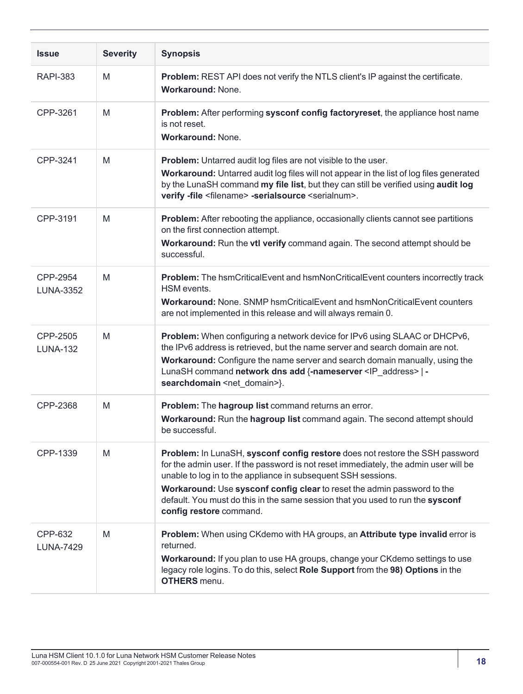| <b>Issue</b>                 | <b>Severity</b> | <b>Synopsis</b>                                                                                                                                                                                                                                                                                                                                                                                                               |
|------------------------------|-----------------|-------------------------------------------------------------------------------------------------------------------------------------------------------------------------------------------------------------------------------------------------------------------------------------------------------------------------------------------------------------------------------------------------------------------------------|
| <b>RAPI-383</b>              | M               | Problem: REST API does not verify the NTLS client's IP against the certificate.<br><b>Workaround: None.</b>                                                                                                                                                                                                                                                                                                                   |
| CPP-3261                     | M               | Problem: After performing sysconf config factoryreset, the appliance host name<br>is not reset.<br>Workaround: None.                                                                                                                                                                                                                                                                                                          |
| CPP-3241                     | M               | <b>Problem:</b> Untarred audit log files are not visible to the user.<br>Workaround: Untarred audit log files will not appear in the list of log files generated<br>by the LunaSH command my file list, but they can still be verified using audit log<br>verify -file <filename> -serialsource <serialnum>.</serialnum></filename>                                                                                           |
| CPP-3191                     | M               | Problem: After rebooting the appliance, occasionally clients cannot see partitions<br>on the first connection attempt.<br>Workaround: Run the vtl verify command again. The second attempt should be<br>successful.                                                                                                                                                                                                           |
| CPP-2954<br><b>LUNA-3352</b> | M               | Problem: The hsmCriticalEvent and hsmNonCriticalEvent counters incorrectly track<br>HSM events.<br><b>Workaround: None. SNMP hsmCriticalEvent and hsmNonCriticalEvent counters</b><br>are not implemented in this release and will always remain 0.                                                                                                                                                                           |
| CPP-2505<br><b>LUNA-132</b>  | M               | Problem: When configuring a network device for IPv6 using SLAAC or DHCPv6,<br>the IPv6 address is retrieved, but the name server and search domain are not.<br>Workaround: Configure the name server and search domain manually, using the<br>LunaSH command network dns add {-nameserver <ip_address>   -<br/>searchdomain <net_domain>}.</net_domain></ip_address>                                                          |
| CPP-2368                     | M               | Problem: The hagroup list command returns an error.<br>Workaround: Run the hagroup list command again. The second attempt should<br>be successful.                                                                                                                                                                                                                                                                            |
| CPP-1339                     | M               | Problem: In LunaSH, sysconf config restore does not restore the SSH password<br>for the admin user. If the password is not reset immediately, the admin user will be<br>unable to log in to the appliance in subsequent SSH sessions.<br>Workaround: Use sysconf config clear to reset the admin password to the<br>default. You must do this in the same session that you used to run the sysconf<br>config restore command. |
| CPP-632<br><b>LUNA-7429</b>  | M               | Problem: When using CKdemo with HA groups, an Attribute type invalid error is<br>returned.<br><b>Workaround:</b> If you plan to use HA groups, change your CKdemo settings to use<br>legacy role logins. To do this, select Role Support from the 98) Options in the<br><b>OTHERS</b> menu.                                                                                                                                   |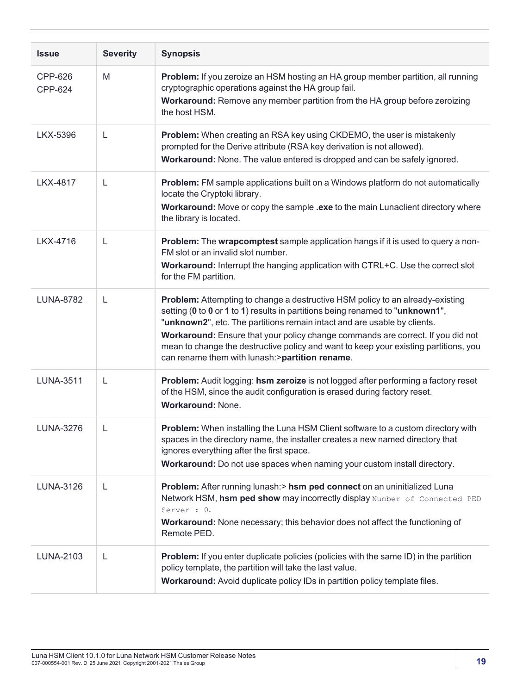| <b>Issue</b>       | <b>Severity</b> | <b>Synopsis</b>                                                                                                                                                                                                                                                                                                                                                                                                                                                         |
|--------------------|-----------------|-------------------------------------------------------------------------------------------------------------------------------------------------------------------------------------------------------------------------------------------------------------------------------------------------------------------------------------------------------------------------------------------------------------------------------------------------------------------------|
| CPP-626<br>CPP-624 | M               | <b>Problem:</b> If you zeroize an HSM hosting an HA group member partition, all running<br>cryptographic operations against the HA group fail.<br>Workaround: Remove any member partition from the HA group before zeroizing<br>the host HSM.                                                                                                                                                                                                                           |
| LKX-5396           | L               | Problem: When creating an RSA key using CKDEMO, the user is mistakenly<br>prompted for the Derive attribute (RSA key derivation is not allowed).<br>Workaround: None. The value entered is dropped and can be safely ignored.                                                                                                                                                                                                                                           |
| LKX-4817           | L               | <b>Problem:</b> FM sample applications built on a Windows platform do not automatically<br>locate the Cryptoki library.<br>Workaround: Move or copy the sample .exe to the main Lunaclient directory where<br>the library is located.                                                                                                                                                                                                                                   |
| LKX-4716           | L               | Problem: The wrapcomptest sample application hangs if it is used to query a non-<br>FM slot or an invalid slot number.<br>Workaround: Interrupt the hanging application with CTRL+C. Use the correct slot<br>for the FM partition.                                                                                                                                                                                                                                      |
| <b>LUNA-8782</b>   | L               | Problem: Attempting to change a destructive HSM policy to an already-existing<br>setting (0 to 0 or 1 to 1) results in partitions being renamed to "unknown1",<br>"unknown2", etc. The partitions remain intact and are usable by clients.<br>Workaround: Ensure that your policy change commands are correct. If you did not<br>mean to change the destructive policy and want to keep your existing partitions, you<br>can rename them with lunash:>partition rename. |
| <b>LUNA-3511</b>   | L               | Problem: Audit logging: hsm zeroize is not logged after performing a factory reset<br>of the HSM, since the audit configuration is erased during factory reset.<br><b>Workaround: None.</b>                                                                                                                                                                                                                                                                             |
| <b>LUNA-3276</b>   | L               | <b>Problem:</b> When installing the Luna HSM Client software to a custom directory with<br>spaces in the directory name, the installer creates a new named directory that<br>ignores everything after the first space.<br>Workaround: Do not use spaces when naming your custom install directory.                                                                                                                                                                      |
| LUNA-3126          | L               | Problem: After running lunash:> hsm ped connect on an uninitialized Luna<br>Network HSM, hsm ped show may incorrectly display Number of Connected PED<br>Server : 0.<br>Workaround: None necessary; this behavior does not affect the functioning of<br>Remote PED.                                                                                                                                                                                                     |
| LUNA-2103          | L               | <b>Problem:</b> If you enter duplicate policies (policies with the same ID) in the partition<br>policy template, the partition will take the last value.<br>Workaround: Avoid duplicate policy IDs in partition policy template files.                                                                                                                                                                                                                                  |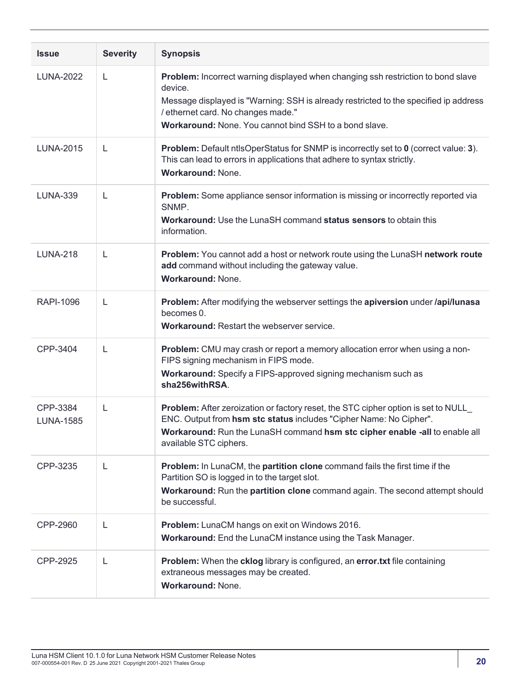| <b>Issue</b>                 | <b>Severity</b> | <b>Synopsis</b>                                                                                                                                                                                                                                                                            |
|------------------------------|-----------------|--------------------------------------------------------------------------------------------------------------------------------------------------------------------------------------------------------------------------------------------------------------------------------------------|
| <b>LUNA-2022</b>             | L               | Problem: Incorrect warning displayed when changing ssh restriction to bond slave<br>device.<br>Message displayed is "Warning: SSH is already restricted to the specified ip address<br>/ ethernet card. No changes made."<br><b>Workaround:</b> None. You cannot bind SSH to a bond slave. |
| <b>LUNA-2015</b>             | L               | Problem: Default ntlsOperStatus for SNMP is incorrectly set to 0 (correct value: 3).<br>This can lead to errors in applications that adhere to syntax strictly.<br><b>Workaround: None.</b>                                                                                                |
| <b>LUNA-339</b>              | L               | Problem: Some appliance sensor information is missing or incorrectly reported via<br>SNMP.<br>Workaround: Use the LunaSH command status sensors to obtain this<br>information.                                                                                                             |
| <b>LUNA-218</b>              | L               | Problem: You cannot add a host or network route using the LunaSH network route<br>add command without including the gateway value.<br><b>Workaround: None.</b>                                                                                                                             |
| <b>RAPI-1096</b>             | L               | Problem: After modifying the webserver settings the apiversion under /api/lunasa<br>becomes 0.<br><b>Workaround: Restart the webserver service.</b>                                                                                                                                        |
| CPP-3404                     | L               | Problem: CMU may crash or report a memory allocation error when using a non-<br>FIPS signing mechanism in FIPS mode.<br>Workaround: Specify a FIPS-approved signing mechanism such as<br>sha256withRSA.                                                                                    |
| CPP-3384<br><b>LUNA-1585</b> | L               | Problem: After zeroization or factory reset, the STC cipher option is set to NULL<br>ENC. Output from hsm stc status includes "Cipher Name: No Cipher".<br>Workaround: Run the LunaSH command hsm stc cipher enable -all to enable all<br>available STC ciphers.                           |
| CPP-3235                     | L               | Problem: In LunaCM, the partition clone command fails the first time if the<br>Partition SO is logged in to the target slot.<br>Workaround: Run the partition clone command again. The second attempt should<br>be successful.                                                             |
| CPP-2960                     | L               | Problem: LunaCM hangs on exit on Windows 2016.<br>Workaround: End the LunaCM instance using the Task Manager.                                                                                                                                                                              |
| CPP-2925                     | L               | Problem: When the cklog library is configured, an error.txt file containing<br>extraneous messages may be created.<br>Workaround: None.                                                                                                                                                    |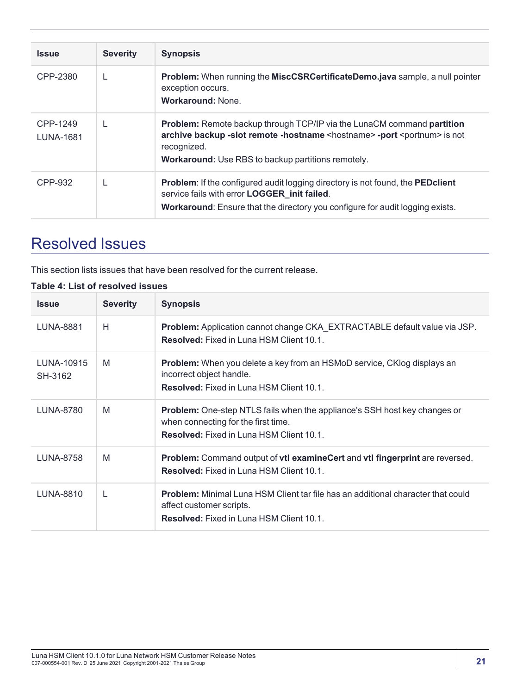| <b>Issue</b>                 | <b>Severity</b> | <b>Synopsis</b>                                                                                                                                                                                                                                                    |
|------------------------------|-----------------|--------------------------------------------------------------------------------------------------------------------------------------------------------------------------------------------------------------------------------------------------------------------|
| CPP-2380                     |                 | <b>Problem:</b> When running the <b>MiscCSRCertificateDemo.java</b> sample, a null pointer<br>exception occurs.<br><b>Workaround: None.</b>                                                                                                                        |
| CPP-1249<br><b>LUNA-1681</b> |                 | <b>Problem:</b> Remote backup through TCP/IP via the LunaCM command <b>partition</b><br>archive backup -slot remote -hostname <hostname> -port <portnum> is not<br/>recognized.<br/><b>Workaround:</b> Use RBS to backup partitions remotely.</portnum></hostname> |
| CPP-932                      |                 | <b>Problem:</b> If the configured audit logging directory is not found, the <b>PEDclient</b><br>service fails with error LOGGER_init failed.<br><b>Workaround:</b> Ensure that the directory you configure for audit logging exists.                               |

# <span id="page-20-0"></span>Resolved Issues

This section lists issues that have been resolved for the current release.

#### **Table 4: List of resolved issues**

| <b>Issue</b>          | <b>Severity</b> | <b>Synopsis</b>                                                                                                                                                        |
|-----------------------|-----------------|------------------------------------------------------------------------------------------------------------------------------------------------------------------------|
| LUNA-8881             | Н               | <b>Problem:</b> Application cannot change CKA EXTRACTABLE default value via JSP.<br><b>Resolved:</b> Fixed in Luna HSM Client 10.1.                                    |
| LUNA-10915<br>SH-3162 | M               | <b>Problem:</b> When you delete a key from an HSMoD service, CKlog displays an<br>incorrect object handle.<br><b>Resolved:</b> Fixed in Luna HSM Client 10.1.          |
| <b>LUNA-8780</b>      | M               | Problem: One-step NTLS fails when the appliance's SSH host key changes or<br>when connecting for the first time.<br><b>Resolved:</b> Fixed in Luna HSM Client 10.1.    |
| LUNA-8758             | M               | Problem: Command output of vtl examineCert and vtl fingerprint are reversed.<br><b>Resolved:</b> Fixed in Luna HSM Client 10.1.                                        |
| LUNA-8810             | L               | <b>Problem:</b> Minimal Luna HSM Client tar file has an additional character that could<br>affect customer scripts.<br><b>Resolved:</b> Fixed in Luna HSM Client 10.1. |